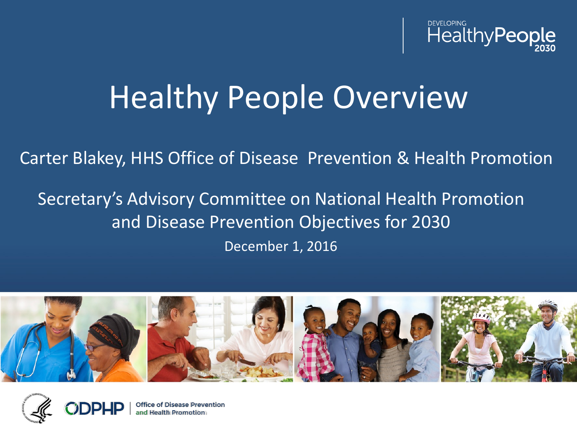

# Healthy People Overview

Carter Blakey, HHS Office of Disease Prevention & Health Promotion

Secretary's Advisory Committee on National Health Promotion and Disease Prevention Objectives for 2030

December 1, 2016



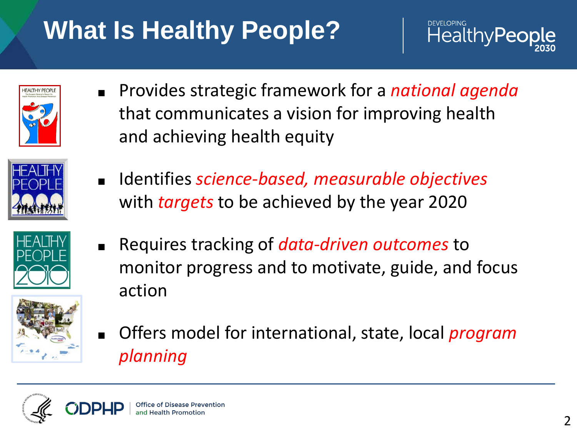# **What Is Healthy People?**



| <b>HEALTHY PEOPLE</b> |
|-----------------------|
|                       |

■ Provides strategic framework for a *national agenda* that communicates a vision for improving health and achieving health equity

■ Identifies *science-based, measurable objectives*

with *targets* to be achieved by the year 2020





■ Requires tracking of *data-driven outcomes* to monitor progress and to motivate, guide, and focus action



■ Offers model for international, state, local *program planning*

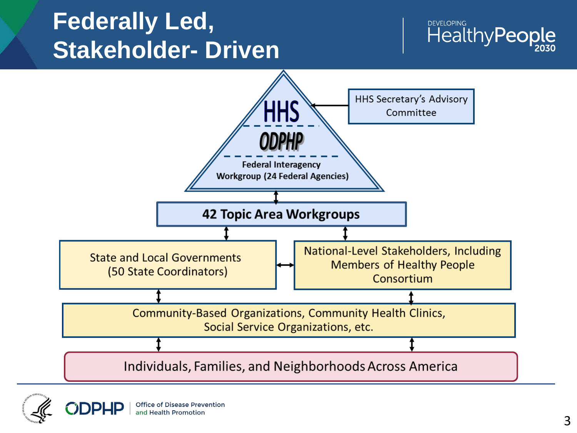#### **Federally Led, Stakeholder- Driven**





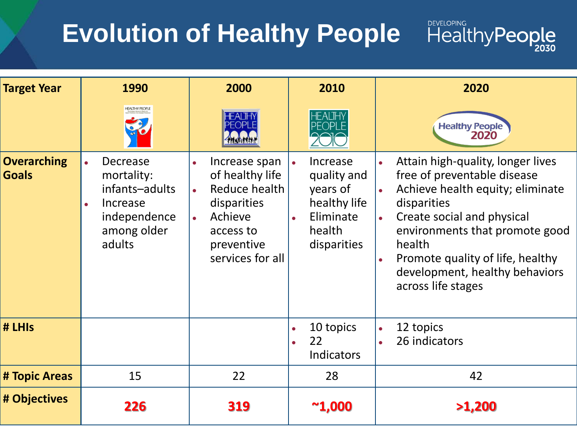# **Evolution of Healthy People**

#### **Target Year 1990 2000 2010 2020** Healthy People **Overarching**  Attain high-quality, longer lives **Decrease** • Increase span • Increase **Goals** of healthy life quality and free of preventable disease mortality: infants–adults **Reduce health** years of Achieve health equity; eliminate healthy life disparities disparities **Increase** independence • Achieve • Eliminate Create social and physical among older health environments that promote good access to adults disparities health preventive services for all Promote quality of life, healthy development, healthy behaviors across life stages **# LHIs** ● 10 topics 12 topics ● 22 26 indicators Indicators **# Topic Areas** 15 22 28 42 **# Objectives <sup>226</sup> <sup>319</sup> ~1,000 >1,200**

**HealthyPeople**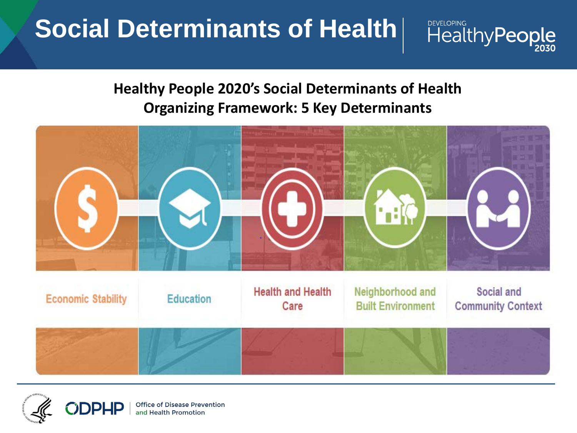### **Social Determinants of Health**

# **HealthyPeople**

#### **Healthy People 2020's Social Determinants of Health Organizing Framework: 5 Key Determinants**



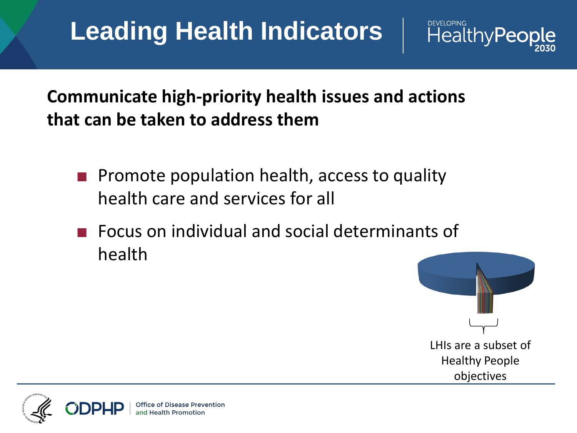## **Leading Health Indicators**



- Promote population health, access to quality health care and services for all
- Focus on individual and social determinants of health



HealthyPeo

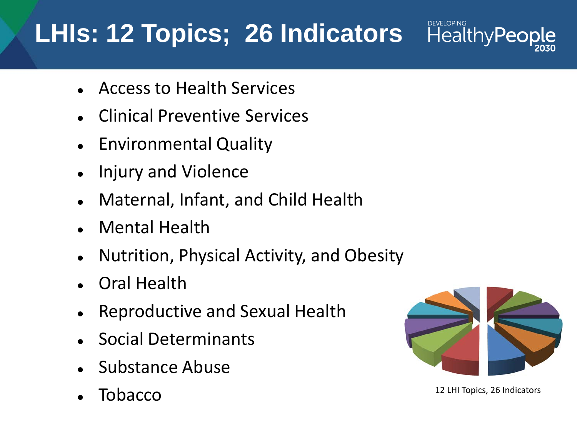## **LHIs: 12 Topics; 26 Indicators**

- Access to Health Services
- **Clinical Preventive Services**
- **Environmental Quality**
- Injury and Violence
- Maternal, Infant, and Child Health
- **Mental Health**
- Nutrition, Physical Activity, and Obesity
- **Oral Health**
- Reproductive and Sexual Health
- Social Determinants
- Substance Abuse
- 



**HealthyPeople** 

**TODACCO** 12 LHI Topics, 26 Indicators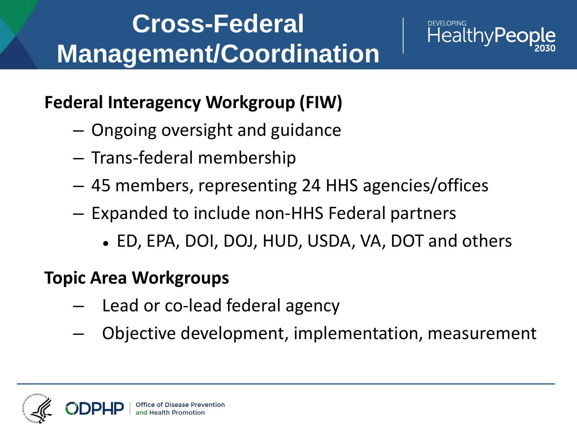### **Cross-Federal Management/Coordination**



#### **Federal Interagency Workgroup (FIW)**

- Ongoing oversight and guidance
- Trans-federal membership
- 45 members, representing 24 HHS agencies/offices
- Expanded to include non-HHS Federal partners
	- ED, EPA, DOI, DOJ, HUD, USDA, VA, DOT and others

#### **Topic Area Workgroups**

- Lead or co-lead federal agency
- Objective development, implementation, measurement

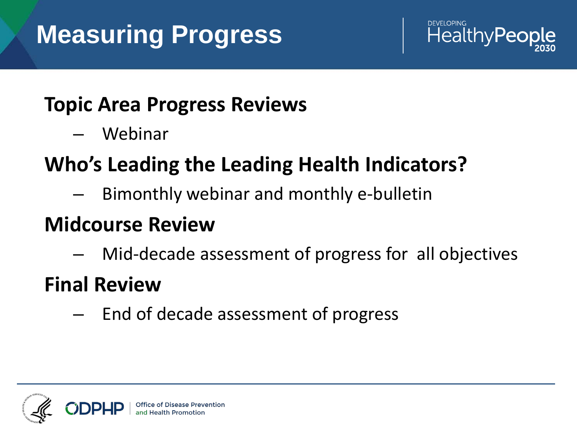

#### **Topic Area Progress Reviews**

– Webinar

#### **Who's Leading the Leading Health Indicators?**

– Bimonthly webinar and monthly e-bulletin

#### **Midcourse Review**

– Mid-decade assessment of progress for all objectives

#### **Final Review**

– End of decade assessment of progress

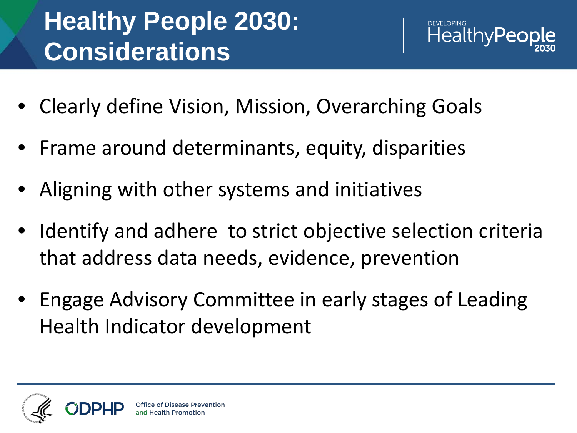# **Healthy People 2030: Considerations**



- Clearly define Vision, Mission, Overarching Goals
- Frame around determinants, equity, disparities
- Aligning with other systems and initiatives
- Identify and adhere to strict objective selection criteria that address data needs, evidence, prevention
- Engage Advisory Committee in early stages of Leading Health Indicator development